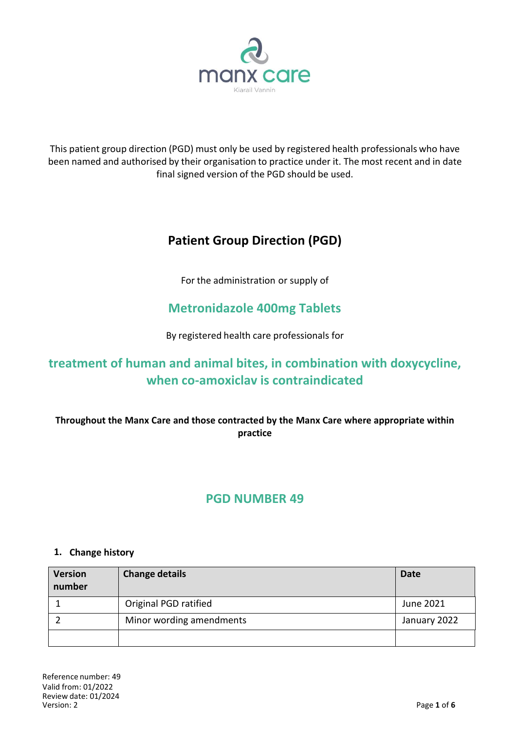

This patient group direction (PGD) must only be used by registered health professionals who have been named and authorised by their organisation to practice under it. The most recent and in date final signed version of the PGD should be used.

# **Patient Group Direction (PGD)**

For the administration or supply of

## **Metronidazole 400mg Tablets**

By registered health care professionals for

## **treatment of human and animal bites, in combination with doxycycline, when co-amoxiclav is contraindicated**

**Throughout the Manx Care and those contracted by the Manx Care where appropriate within practice**

## **PGD NUMBER 49**

#### **1. Change history**

| <b>Version</b><br>number | <b>Change details</b>    | <b>Date</b>  |
|--------------------------|--------------------------|--------------|
|                          | Original PGD ratified    | June 2021    |
|                          | Minor wording amendments | January 2022 |
|                          |                          |              |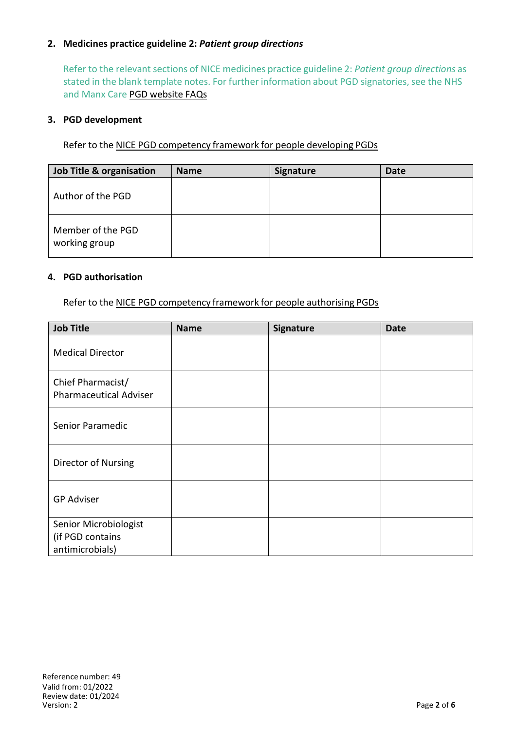### **2. Medicines practice guideline 2:** *Patient group directions*

Refer to the relevant sections of NICE medicines practice guideline 2: *Patient group directions* as stated in the blank template notes. For further information about PGD signatories, see the NHS and Manx Care PGD website FAQs

#### **3. PGD development**

Refer to the NICE PGD competency framework for people developing PGDs

| <b>Job Title &amp; organisation</b> | <b>Name</b> | <b>Signature</b> | <b>Date</b> |
|-------------------------------------|-------------|------------------|-------------|
| Author of the PGD                   |             |                  |             |
| Member of the PGD<br>working group  |             |                  |             |

#### **4. PGD authorisation**

Refer to the NICE PGD competency framework for people authorising PGDs

| <b>Job Title</b>                                             | <b>Name</b> | <b>Signature</b> | <b>Date</b> |
|--------------------------------------------------------------|-------------|------------------|-------------|
| <b>Medical Director</b>                                      |             |                  |             |
| Chief Pharmacist/<br><b>Pharmaceutical Adviser</b>           |             |                  |             |
| Senior Paramedic                                             |             |                  |             |
| Director of Nursing                                          |             |                  |             |
| <b>GP Adviser</b>                                            |             |                  |             |
| Senior Microbiologist<br>(if PGD contains<br>antimicrobials) |             |                  |             |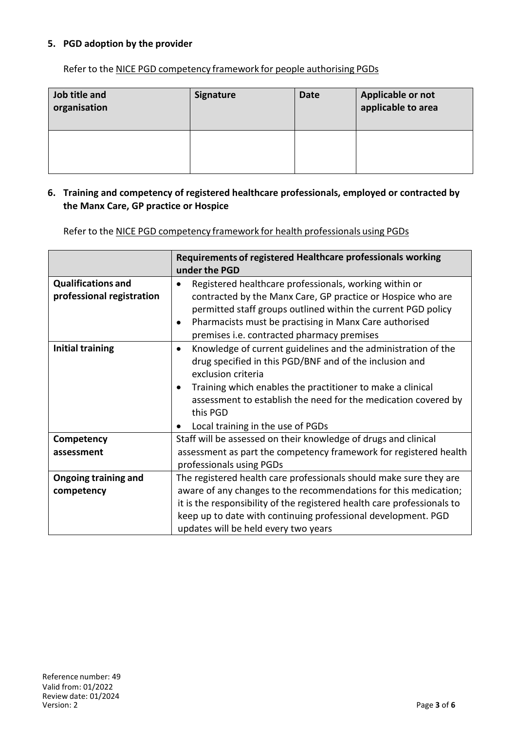### **5. PGD adoption by the provider**

Refer to the NICE PGD competency framework for people authorising PGDs

| Job title and<br>organisation | <b>Signature</b> | <b>Date</b> | Applicable or not<br>applicable to area |
|-------------------------------|------------------|-------------|-----------------------------------------|
|                               |                  |             |                                         |

#### **6. Training and competency of registered healthcare professionals, employed or contracted by the Manx Care, GP practice or Hospice**

Refer to the NICE PGD competency framework for health professionals using PGDs

|                                                        | Requirements of registered Healthcare professionals working<br>under the PGD                                                                                                                                                                                                                                                                 |
|--------------------------------------------------------|----------------------------------------------------------------------------------------------------------------------------------------------------------------------------------------------------------------------------------------------------------------------------------------------------------------------------------------------|
| <b>Qualifications and</b><br>professional registration | Registered healthcare professionals, working within or<br>contracted by the Manx Care, GP practice or Hospice who are<br>permitted staff groups outlined within the current PGD policy<br>Pharmacists must be practising in Manx Care authorised<br>premises i.e. contracted pharmacy premises                                               |
| <b>Initial training</b>                                | Knowledge of current guidelines and the administration of the<br>$\bullet$<br>drug specified in this PGD/BNF and of the inclusion and<br>exclusion criteria<br>Training which enables the practitioner to make a clinical<br>assessment to establish the need for the medication covered by<br>this PGD<br>Local training in the use of PGDs |
| Competency                                             | Staff will be assessed on their knowledge of drugs and clinical                                                                                                                                                                                                                                                                              |
| assessment                                             | assessment as part the competency framework for registered health<br>professionals using PGDs                                                                                                                                                                                                                                                |
| <b>Ongoing training and</b>                            | The registered health care professionals should make sure they are                                                                                                                                                                                                                                                                           |
| competency                                             | aware of any changes to the recommendations for this medication;                                                                                                                                                                                                                                                                             |
|                                                        | it is the responsibility of the registered health care professionals to                                                                                                                                                                                                                                                                      |
|                                                        | keep up to date with continuing professional development. PGD                                                                                                                                                                                                                                                                                |
|                                                        | updates will be held every two years                                                                                                                                                                                                                                                                                                         |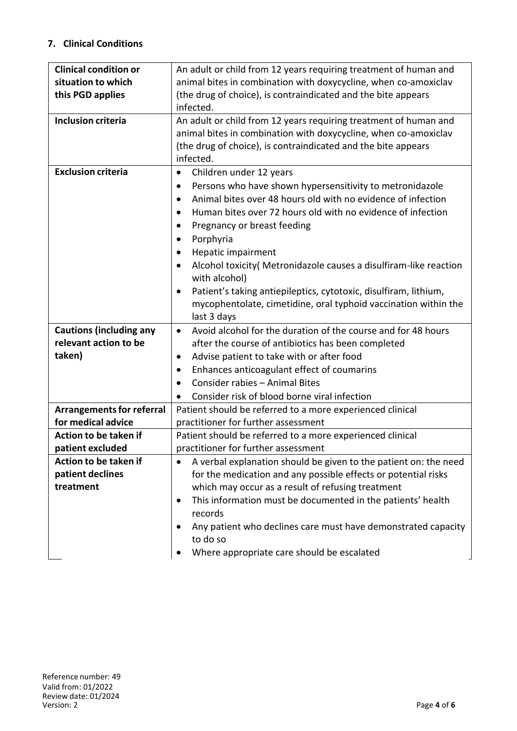### **7. Clinical Conditions**

| <b>Clinical condition or</b>     | An adult or child from 12 years requiring treatment of human and               |
|----------------------------------|--------------------------------------------------------------------------------|
| situation to which               | animal bites in combination with doxycycline, when co-amoxiclav                |
| this PGD applies                 | (the drug of choice), is contraindicated and the bite appears                  |
|                                  | infected.                                                                      |
| <b>Inclusion criteria</b>        | An adult or child from 12 years requiring treatment of human and               |
|                                  | animal bites in combination with doxycycline, when co-amoxiclav                |
|                                  | (the drug of choice), is contraindicated and the bite appears                  |
|                                  | infected.                                                                      |
| <b>Exclusion criteria</b>        | Children under 12 years<br>$\bullet$                                           |
|                                  | Persons who have shown hypersensitivity to metronidazole<br>٠                  |
|                                  | Animal bites over 48 hours old with no evidence of infection<br>$\bullet$      |
|                                  | Human bites over 72 hours old with no evidence of infection<br>$\bullet$       |
|                                  | Pregnancy or breast feeding<br>$\bullet$                                       |
|                                  | Porphyria                                                                      |
|                                  | Hepatic impairment                                                             |
|                                  | Alcohol toxicity( Metronidazole causes a disulfiram-like reaction<br>$\bullet$ |
|                                  | with alcohol)                                                                  |
|                                  | Patient's taking antiepileptics, cytotoxic, disulfiram, lithium,<br>٠          |
|                                  | mycophentolate, cimetidine, oral typhoid vaccination within the                |
|                                  | last 3 days                                                                    |
| <b>Cautions (including any</b>   | Avoid alcohol for the duration of the course and for 48 hours<br>$\bullet$     |
| relevant action to be            | after the course of antibiotics has been completed                             |
| taken)                           | Advise patient to take with or after food<br>٠                                 |
|                                  |                                                                                |
|                                  | Enhances anticoagulant effect of coumarins<br>٠                                |
|                                  | Consider rabies - Animal Bites                                                 |
|                                  | Consider risk of blood borne viral infection<br>$\bullet$                      |
| <b>Arrangements for referral</b> | Patient should be referred to a more experienced clinical                      |
| for medical advice               | practitioner for further assessment                                            |
| Action to be taken if            | Patient should be referred to a more experienced clinical                      |
| patient excluded                 | practitioner for further assessment                                            |
| Action to be taken if            | A verbal explanation should be given to the patient on: the need               |
| patient declines                 | for the medication and any possible effects or potential risks                 |
| treatment                        | which may occur as a result of refusing treatment                              |
|                                  | This information must be documented in the patients' health                    |
|                                  | records                                                                        |
|                                  | Any patient who declines care must have demonstrated capacity                  |
|                                  | to do so                                                                       |
|                                  | Where appropriate care should be escalated                                     |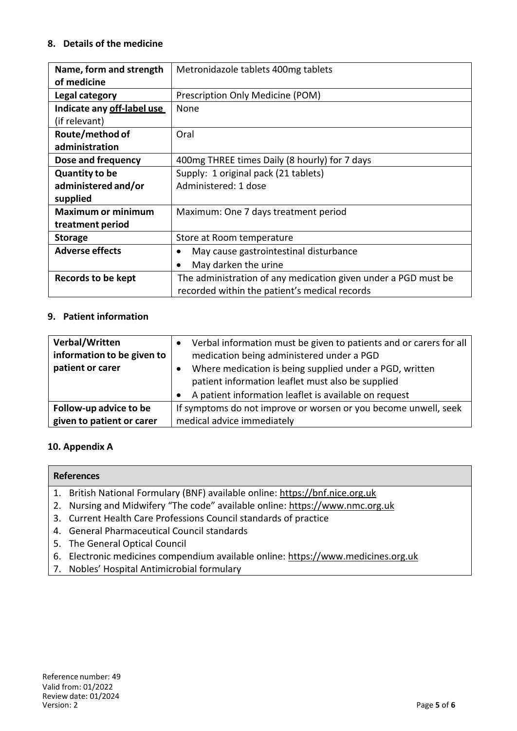### **8. Details of the medicine**

| Name, form and strength    | Metronidazole tablets 400mg tablets                            |
|----------------------------|----------------------------------------------------------------|
| of medicine                |                                                                |
| Legal category             | Prescription Only Medicine (POM)                               |
| Indicate any off-label use | None                                                           |
| (if relevant)              |                                                                |
| Route/method of            | Oral                                                           |
| administration             |                                                                |
| Dose and frequency         | 400mg THREE times Daily (8 hourly) for 7 days                  |
| <b>Quantity to be</b>      | Supply: 1 original pack (21 tablets)                           |
| administered and/or        | Administered: 1 dose                                           |
| supplied                   |                                                                |
| <b>Maximum or minimum</b>  | Maximum: One 7 days treatment period                           |
| treatment period           |                                                                |
| <b>Storage</b>             | Store at Room temperature                                      |
| <b>Adverse effects</b>     | May cause gastrointestinal disturbance                         |
|                            | May darken the urine                                           |
| Records to be kept         | The administration of any medication given under a PGD must be |
|                            | recorded within the patient's medical records                  |

### **9. Patient information**

| Verbal/Written<br>information to be given to<br>patient or carer | Verbal information must be given to patients and or carers for all<br>medication being administered under a PGD<br>Where medication is being supplied under a PGD, written<br>patient information leaflet must also be supplied<br>A patient information leaflet is available on request |
|------------------------------------------------------------------|------------------------------------------------------------------------------------------------------------------------------------------------------------------------------------------------------------------------------------------------------------------------------------------|
| Follow-up advice to be                                           | If symptoms do not improve or worsen or you become unwell, seek                                                                                                                                                                                                                          |
| given to patient or carer                                        | medical advice immediately                                                                                                                                                                                                                                                               |

### **10. Appendix A**

#### **References**

- 1. British National Formulary (BNF) available online: https://bnf.nice.org.uk
- 2. Nursing and Midwifery "The code" available online: https://www.nmc.org.uk
- 3. Current Health Care Professions Council standards of practice
- 4. General Pharmaceutical Council standards
- 5. The General Optical Council
- 6. Electronic medicines compendium available online: https://www.medicines.org.uk
- 7. Nobles' Hospital Antimicrobial formulary